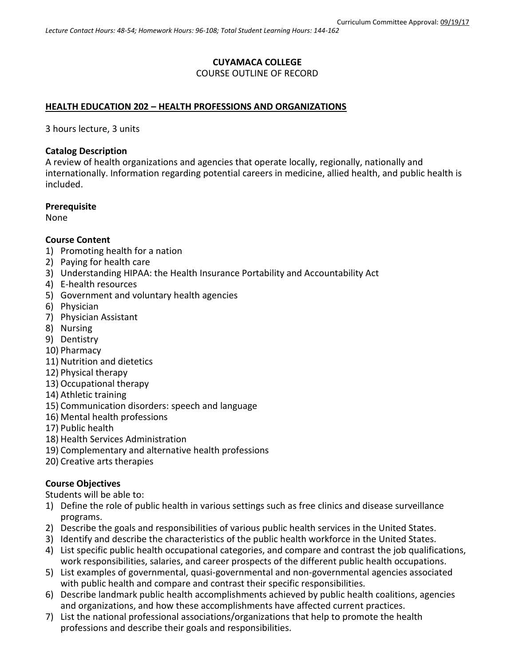## **CUYAMACA COLLEGE**

## COURSE OUTLINE OF RECORD

## **HEALTH EDUCATION 202 – HEALTH PROFESSIONS AND ORGANIZATIONS**

3 hours lecture, 3 units

## **Catalog Description**

A review of health organizations and agencies that operate locally, regionally, nationally and internationally. Information regarding potential careers in medicine, allied health, and public health is included.

### **Prerequisite**

None

### **Course Content**

- 1) Promoting health for a nation
- 2) Paying for health care
- 3) Understanding HIPAA: the Health Insurance Portability and Accountability Act
- 4) E-health resources
- 5) Government and voluntary health agencies
- 6) Physician
- 7) Physician Assistant
- 8) Nursing
- 9) Dentistry
- 10) Pharmacy
- 11) Nutrition and dietetics
- 12) Physical therapy
- 13) Occupational therapy
- 14) Athletic training
- 15) Communication disorders: speech and language
- 16) Mental health professions
- 17) Public health
- 18) Health Services Administration
- 19) Complementary and alternative health professions
- 20) Creative arts therapies

## **Course Objectives**

Students will be able to:

- 1) Define the role of public health in various settings such as free clinics and disease surveillance programs.
- 2) Describe the goals and responsibilities of various public health services in the United States.
- 3) Identify and describe the characteristics of the public health workforce in the United States.
- 4) List specific public health occupational categories, and compare and contrast the job qualifications, work responsibilities, salaries, and career prospects of the different public health occupations.
- 5) List examples of governmental, quasi-governmental and non-governmental agencies associated with public health and compare and contrast their specific responsibilities.
- 6) Describe landmark public health accomplishments achieved by public health coalitions, agencies and organizations, and how these accomplishments have affected current practices.
- 7) List the national professional associations/organizations that help to promote the health professions and describe their goals and responsibilities.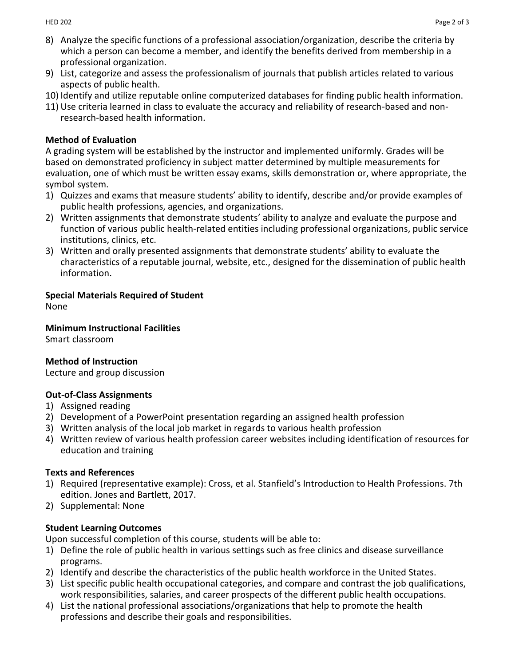- 8) Analyze the specific functions of a professional association/organization, describe the criteria by which a person can become a member, and identify the benefits derived from membership in a professional organization.
- 9) List, categorize and assess the professionalism of journals that publish articles related to various aspects of public health.
- 10) Identify and utilize reputable online computerized databases for finding public health information.
- 11) Use criteria learned in class to evaluate the accuracy and reliability of research-based and nonresearch-based health information.

## **Method of Evaluation**

A grading system will be established by the instructor and implemented uniformly. Grades will be based on demonstrated proficiency in subject matter determined by multiple measurements for evaluation, one of which must be written essay exams, skills demonstration or, where appropriate, the symbol system.

- 1) Quizzes and exams that measure students' ability to identify, describe and/or provide examples of public health professions, agencies, and organizations.
- 2) Written assignments that demonstrate students' ability to analyze and evaluate the purpose and function of various public health-related entities including professional organizations, public service institutions, clinics, etc.
- 3) Written and orally presented assignments that demonstrate students' ability to evaluate the characteristics of a reputable journal, website, etc., designed for the dissemination of public health information.

# **Special Materials Required of Student**

None

**Minimum Instructional Facilities**

Smart classroom

# **Method of Instruction**

Lecture and group discussion

# **Out-of-Class Assignments**

- 1) Assigned reading
- 2) Development of a PowerPoint presentation regarding an assigned health profession
- 3) Written analysis of the local job market in regards to various health profession
- 4) Written review of various health profession career websites including identification of resources for education and training

## **Texts and References**

- 1) Required (representative example): Cross, et al. Stanfield's Introduction to Health Professions. 7th edition. Jones and Bartlett, 2017.
- 2) Supplemental: None

# **Student Learning Outcomes**

Upon successful completion of this course, students will be able to:

- 1) Define the role of public health in various settings such as free clinics and disease surveillance programs.
- 2) Identify and describe the characteristics of the public health workforce in the United States.
- 3) List specific public health occupational categories, and compare and contrast the job qualifications, work responsibilities, salaries, and career prospects of the different public health occupations.
- 4) List the national professional associations/organizations that help to promote the health professions and describe their goals and responsibilities.